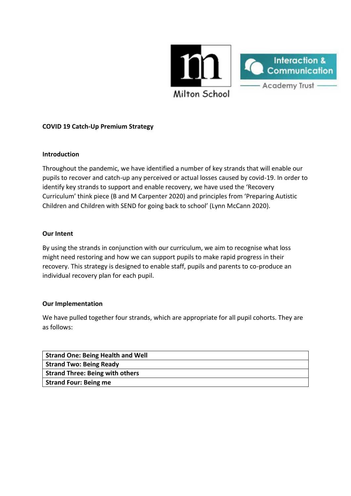

# **COVID 19 Catch-Up Premium Strategy**

### **Introduction**

Throughout the pandemic, we have identified a number of key strands that will enable our pupils to recover and catch-up any perceived or actual losses caused by covid-19. In order to identify key strands to support and enable recovery, we have used the 'Recovery Curriculum' think piece (B and M Carpenter 2020) and principles from 'Preparing Autistic Children and Children with SEND for going back to school' (Lynn McCann 2020).

#### **Our Intent**

By using the strands in conjunction with our curriculum, we aim to recognise what loss might need restoring and how we can support pupils to make rapid progress in their recovery. This strategy is designed to enable staff, pupils and parents to co-produce an individual recovery plan for each pupil.

### **Our Implementation**

We have pulled together four strands, which are appropriate for all pupil cohorts. They are as follows:

| <b>Strand One: Being Health and Well</b> |
|------------------------------------------|
| <b>Strand Two: Being Ready</b>           |
| <b>Strand Three: Being with others</b>   |
| <b>Strand Four: Being me</b>             |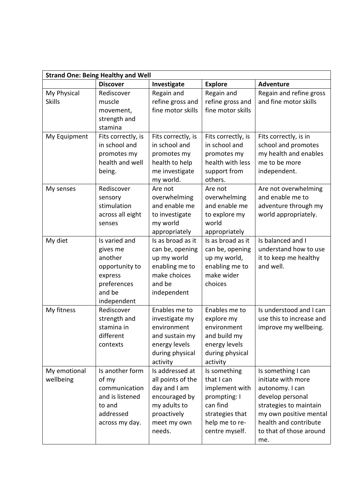| <b>Strand One: Being Healthy and Well</b> |                                                                                                           |                                                                                                                               |                                                                                                                                 |                                                                                                                                                                                                |
|-------------------------------------------|-----------------------------------------------------------------------------------------------------------|-------------------------------------------------------------------------------------------------------------------------------|---------------------------------------------------------------------------------------------------------------------------------|------------------------------------------------------------------------------------------------------------------------------------------------------------------------------------------------|
|                                           | <b>Discover</b>                                                                                           | Investigate                                                                                                                   | <b>Explore</b>                                                                                                                  | <b>Adventure</b>                                                                                                                                                                               |
| My Physical<br><b>Skills</b>              | Rediscover<br>muscle<br>movement,<br>strength and<br>stamina                                              | Regain and<br>refine gross and<br>fine motor skills                                                                           | Regain and<br>refine gross and<br>fine motor skills                                                                             | Regain and refine gross<br>and fine motor skills                                                                                                                                               |
| My Equipment                              | Fits correctly, is<br>in school and<br>promotes my<br>health and well<br>being.                           | Fits correctly, is<br>in school and<br>promotes my<br>health to help<br>me investigate<br>my world.                           | Fits correctly, is<br>in school and<br>promotes my<br>health with less<br>support from<br>others.                               | Fits correctly, is in<br>school and promotes<br>my health and enables<br>me to be more<br>independent.                                                                                         |
| My senses                                 | Rediscover<br>sensory<br>stimulation<br>across all eight<br>senses                                        | Are not<br>overwhelming<br>and enable me<br>to investigate<br>my world<br>appropriately                                       | Are not<br>overwhelming<br>and enable me<br>to explore my<br>world<br>appropriately                                             | Are not overwhelming<br>and enable me to<br>adventure through my<br>world appropriately.                                                                                                       |
| My diet                                   | Is varied and<br>gives me<br>another<br>opportunity to<br>express<br>preferences<br>and be<br>independent | Is as broad as it<br>can be, opening<br>up my world<br>enabling me to<br>make choices<br>and be<br>independent                | Is as broad as it<br>can be, opening<br>up my world,<br>enabling me to<br>make wider<br>choices                                 | Is balanced and I<br>understand how to use<br>it to keep me healthy<br>and well.                                                                                                               |
| My fitness                                | Rediscover<br>strength and<br>stamina in<br>different<br>contexts                                         | Enables me to<br>investigate my<br>environment<br>and sustain my<br>energy levels<br>during physical<br>activity              | Enables me to<br>explore my<br>environment<br>and build my<br>energy levels<br>during physical<br>activity                      | Is understood and I can<br>use this to increase and<br>improve my wellbeing.                                                                                                                   |
| My emotional<br>wellbeing                 | Is another form<br>of my<br>communication<br>and is listened<br>to and<br>addressed<br>across my day.     | Is addressed at<br>all points of the<br>day and I am<br>encouraged by<br>my adults to<br>proactively<br>meet my own<br>needs. | Is something<br>that I can<br>implement with<br>prompting: I<br>can find<br>strategies that<br>help me to re-<br>centre myself. | Is something I can<br>initiate with more<br>autonomy. I can<br>develop personal<br>strategies to maintain<br>my own positive mental<br>health and contribute<br>to that of those around<br>me. |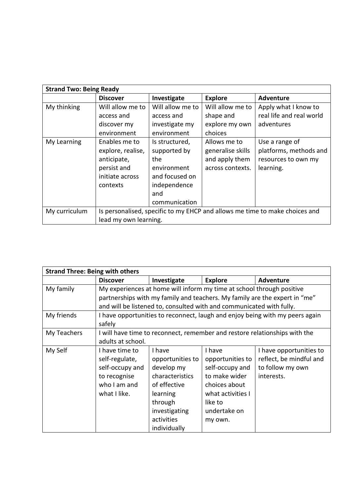| <b>Strand Two: Being Ready</b> |                                                                             |                  |                   |                          |
|--------------------------------|-----------------------------------------------------------------------------|------------------|-------------------|--------------------------|
|                                | <b>Discover</b>                                                             | Investigate      | <b>Explore</b>    | <b>Adventure</b>         |
| My thinking                    | Will allow me to                                                            | Will allow me to | Will allow me to  | Apply what I know to     |
|                                | access and                                                                  | access and       | shape and         | real life and real world |
|                                | discover my                                                                 | investigate my   | explore my own    | adventures               |
|                                | environment                                                                 | environment      | choices           |                          |
| My Learning                    | Enables me to                                                               | Is structured,   | Allows me to      | Use a range of           |
|                                | explore, realise,                                                           | supported by     | generalise skills | platforms, methods and   |
|                                | anticipate,                                                                 | the.             | and apply them    | resources to own my      |
|                                | persist and                                                                 | environment      | across contexts.  | learning.                |
|                                | initiate across                                                             | and focused on   |                   |                          |
|                                | contexts                                                                    | independence     |                   |                          |
|                                |                                                                             | and              |                   |                          |
|                                |                                                                             | communication    |                   |                          |
| My curriculum                  | Is personalised, specific to my EHCP and allows me time to make choices and |                  |                   |                          |
|                                | lead my own learning.                                                       |                  |                   |                          |

| <b>Strand Three: Being with others</b> |                                                                              |                  |                   |                         |
|----------------------------------------|------------------------------------------------------------------------------|------------------|-------------------|-------------------------|
|                                        | <b>Discover</b>                                                              | Investigate      | <b>Explore</b>    | <b>Adventure</b>        |
| My family                              | My experiences at home will inform my time at school through positive        |                  |                   |                         |
|                                        | partnerships with my family and teachers. My family are the expert in "me"   |                  |                   |                         |
|                                        | and will be listened to, consulted with and communicated with fully.         |                  |                   |                         |
| My friends                             | I have opportunities to reconnect, laugh and enjoy being with my peers again |                  |                   |                         |
|                                        | safely                                                                       |                  |                   |                         |
| My Teachers                            | I will have time to reconnect, remember and restore relationships with the   |                  |                   |                         |
|                                        | adults at school.                                                            |                  |                   |                         |
| My Self                                | I have time to                                                               | I have           | I have            | I have opportunities to |
|                                        | self-regulate,                                                               | opportunities to | opportunities to  | reflect, be mindful and |
|                                        | self-occupy and                                                              | develop my       | self-occupy and   | to follow my own        |
|                                        | to recognise                                                                 | characteristics  | to make wider     | interests.              |
|                                        | who I am and                                                                 | of effective     | choices about     |                         |
|                                        | what I like.                                                                 | learning         | what activities I |                         |
|                                        |                                                                              | through          | like to           |                         |
|                                        |                                                                              | investigating    | undertake on      |                         |
|                                        |                                                                              | activities       | my own.           |                         |
|                                        |                                                                              | individually     |                   |                         |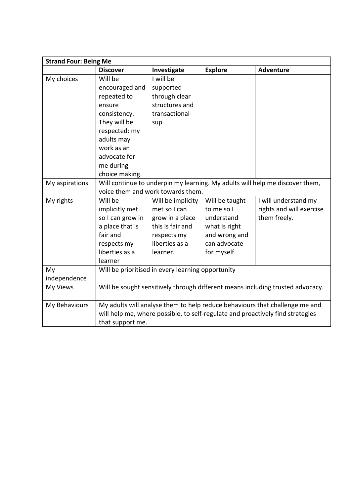| <b>Strand Four: Being Me</b> |                                                                                |                                   |                |                                                                             |
|------------------------------|--------------------------------------------------------------------------------|-----------------------------------|----------------|-----------------------------------------------------------------------------|
|                              | <b>Discover</b>                                                                | Investigate                       | <b>Explore</b> | <b>Adventure</b>                                                            |
| My choices                   | Will be                                                                        | I will be                         |                |                                                                             |
|                              | encouraged and                                                                 | supported                         |                |                                                                             |
|                              | repeated to                                                                    | through clear                     |                |                                                                             |
|                              | ensure                                                                         | structures and                    |                |                                                                             |
|                              | consistency.                                                                   | transactional                     |                |                                                                             |
|                              | They will be                                                                   | sup                               |                |                                                                             |
|                              | respected: my                                                                  |                                   |                |                                                                             |
|                              | adults may                                                                     |                                   |                |                                                                             |
|                              | work as an                                                                     |                                   |                |                                                                             |
|                              | advocate for                                                                   |                                   |                |                                                                             |
|                              | me during                                                                      |                                   |                |                                                                             |
|                              | choice making.                                                                 |                                   |                |                                                                             |
| My aspirations               | Will continue to underpin my learning. My adults will help me discover them,   |                                   |                |                                                                             |
|                              |                                                                                | voice them and work towards them. |                |                                                                             |
| My rights                    | Will be                                                                        | Will be implicity                 | Will be taught | I will understand my                                                        |
|                              | implicitly met                                                                 | met so I can                      | to me so I     | rights and will exercise                                                    |
|                              | so I can grow in                                                               | grow in a place                   | understand     | them freely.                                                                |
|                              | a place that is                                                                | this is fair and                  | what is right  |                                                                             |
|                              | fair and                                                                       | respects my                       | and wrong and  |                                                                             |
|                              | respects my                                                                    | liberties as a                    | can advocate   |                                                                             |
|                              | liberties as a                                                                 | learner.                          | for myself.    |                                                                             |
|                              | learner                                                                        |                                   |                |                                                                             |
| My                           | Will be prioritised in every learning opportunity                              |                                   |                |                                                                             |
| independence                 |                                                                                |                                   |                |                                                                             |
| My Views                     | Will be sought sensitively through different means including trusted advocacy. |                                   |                |                                                                             |
| My Behaviours                |                                                                                |                                   |                | My adults will analyse them to help reduce behaviours that challenge me and |
|                              | will help me, where possible, to self-regulate and proactively find strategies |                                   |                |                                                                             |
|                              | that support me.                                                               |                                   |                |                                                                             |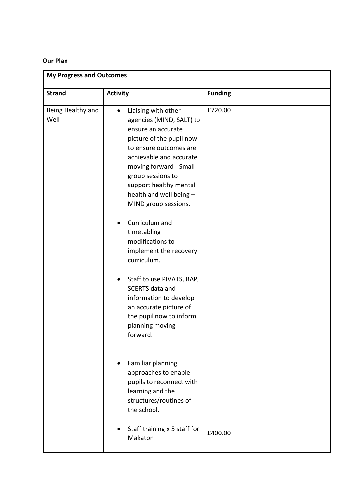### **Our Plan**

| <b>My Progress and Outcomes</b> |                                                                                                                                                                                                                                                                                                 |                |  |
|---------------------------------|-------------------------------------------------------------------------------------------------------------------------------------------------------------------------------------------------------------------------------------------------------------------------------------------------|----------------|--|
| <b>Strand</b>                   | <b>Activity</b>                                                                                                                                                                                                                                                                                 | <b>Funding</b> |  |
| Being Healthy and<br>Well       | Liaising with other<br>$\bullet$<br>agencies (MIND, SALT) to<br>ensure an accurate<br>picture of the pupil now<br>to ensure outcomes are<br>achievable and accurate<br>moving forward - Small<br>group sessions to<br>support healthy mental<br>health and well being -<br>MIND group sessions. | £720.00        |  |
|                                 | Curriculum and<br>timetabling<br>modifications to<br>implement the recovery<br>curriculum.                                                                                                                                                                                                      |                |  |
|                                 | Staff to use PIVATS, RAP,<br><b>SCERTS</b> data and<br>information to develop<br>an accurate picture of<br>the pupil now to inform<br>planning moving<br>forward.                                                                                                                               |                |  |
|                                 | Familiar planning<br>approaches to enable<br>pupils to reconnect with<br>learning and the<br>structures/routines of<br>the school.                                                                                                                                                              |                |  |
|                                 | Staff training x 5 staff for<br>Makaton                                                                                                                                                                                                                                                         | £400.00        |  |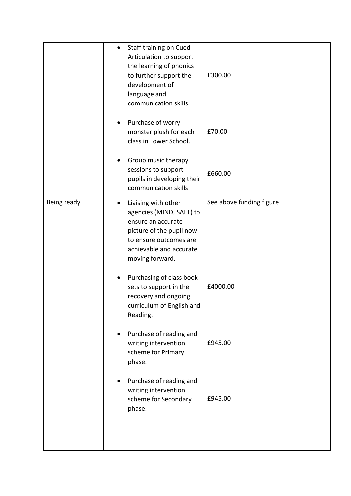|             | Staff training on Cued<br>$\bullet$<br>Articulation to support<br>the learning of phonics<br>to further support the<br>development of<br>language and<br>communication skills. | £300.00                  |
|-------------|--------------------------------------------------------------------------------------------------------------------------------------------------------------------------------|--------------------------|
|             | Purchase of worry<br>monster plush for each<br>class in Lower School.                                                                                                          | £70.00                   |
|             | Group music therapy<br>sessions to support<br>pupils in developing their<br>communication skills                                                                               | £660.00                  |
| Being ready | Liaising with other<br>٠<br>agencies (MIND, SALT) to<br>ensure an accurate<br>picture of the pupil now<br>to ensure outcomes are<br>achievable and accurate<br>moving forward. | See above funding figure |
|             | Purchasing of class book<br>sets to support in the<br>recovery and ongoing<br>curriculum of English and<br>Reading.                                                            | £4000.00                 |
|             | Purchase of reading and<br>writing intervention<br>scheme for Primary<br>phase.                                                                                                | £945.00                  |
|             | Purchase of reading and<br>writing intervention<br>scheme for Secondary<br>phase.                                                                                              | £945.00                  |
|             |                                                                                                                                                                                |                          |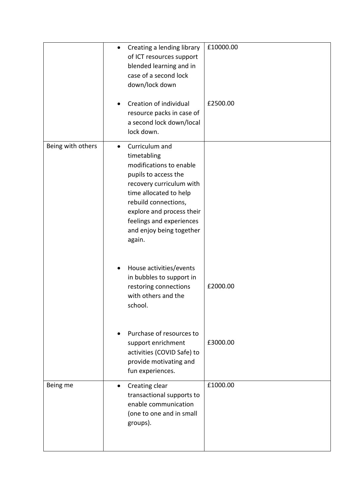|                   | £10000.00<br>Creating a lending library<br>$\bullet$<br>of ICT resources support<br>blended learning and in<br>case of a second lock<br>down/lock down                                                                                                                     |
|-------------------|----------------------------------------------------------------------------------------------------------------------------------------------------------------------------------------------------------------------------------------------------------------------------|
|                   | £2500.00<br>Creation of individual<br>resource packs in case of<br>a second lock down/local<br>lock down.                                                                                                                                                                  |
| Being with others | Curriculum and<br>$\bullet$<br>timetabling<br>modifications to enable<br>pupils to access the<br>recovery curriculum with<br>time allocated to help<br>rebuild connections,<br>explore and process their<br>feelings and experiences<br>and enjoy being together<br>again. |
|                   | House activities/events<br>in bubbles to support in<br>restoring connections<br>£2000.00<br>with others and the<br>school.                                                                                                                                                 |
|                   | Purchase of resources to<br>£3000.00<br>support enrichment<br>activities (COVID Safe) to<br>provide motivating and<br>fun experiences.                                                                                                                                     |
| Being me          | Creating clear<br>£1000.00<br>$\bullet$<br>transactional supports to<br>enable communication<br>(one to one and in small<br>groups).                                                                                                                                       |